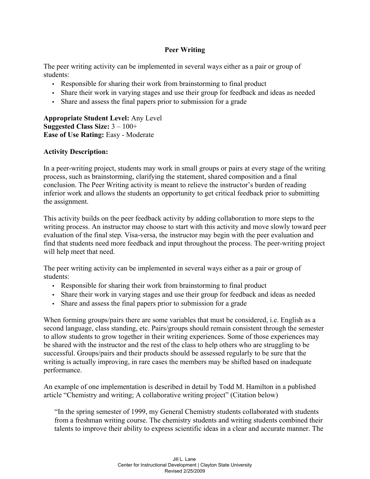## **Peer Writing**

The peer writing activity can be implemented in several ways either as a pair or group of students:

- Responsible for sharing their work from brainstorming to final product
- Share their work in varying stages and use their group for feedback and ideas as needed
- Share and assess the final papers prior to submission for a grade

**Appropriate Student Level:** Any Level **Suggested Class Size:** 3 – 100+ **Ease of Use Rating:** Easy - Moderate

## **Activity Description:**

In a peer-writing project, students may work in small groups or pairs at every stage of the writing process, such as brainstorming, clarifying the statement, shared composition and a final conclusion. The Peer Writing activity is meant to relieve the instructor's burden of reading inferior work and allows the students an opportunity to get critical feedback prior to submitting the assignment.

This activity builds on the peer feedback activity by adding collaboration to more steps to the writing process. An instructor may choose to start with this activity and move slowly toward peer evaluation of the final step. Visa-versa, the instructor may begin with the peer evaluation and find that students need more feedback and input throughout the process. The peer-writing project will help meet that need.

The peer writing activity can be implemented in several ways either as a pair or group of students:

- Responsible for sharing their work from brainstorming to final product
- Share their work in varying stages and use their group for feedback and ideas as needed
- Share and assess the final papers prior to submission for a grade

When forming groups/pairs there are some variables that must be considered, i.e. English as a second language, class standing, etc. Pairs/groups should remain consistent through the semester to allow students to grow together in their writing experiences. Some of those experiences may be shared with the instructor and the rest of the class to help others who are struggling to be successful. Groups/pairs and their products should be assessed regularly to be sure that the writing is actually improving, in rare cases the members may be shifted based on inadequate performance.

An example of one implementation is described in detail by Todd M. Hamilton in a published article "Chemistry and writing; A collaborative writing project" (Citation below)

"In the spring semester of 1999, my General Chemistry students collaborated with students from a freshman writing course. The chemistry students and writing students combined their talents to improve their ability to express scientific ideas in a clear and accurate manner. The